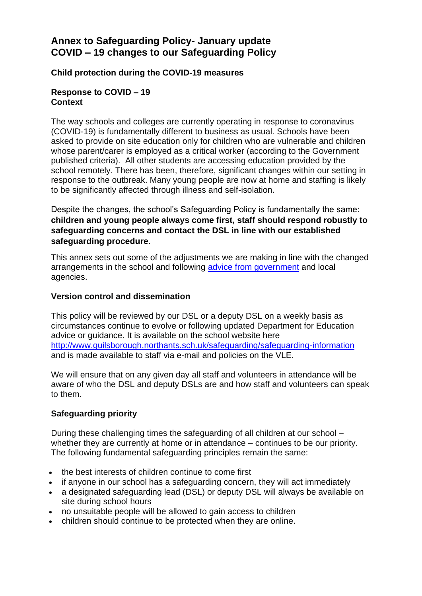# **Annex to Safeguarding Policy- January update COVID – 19 changes to our Safeguarding Policy**

# **Child protection during the COVID-19 measures**

### **Response to COVID – 19 Context**

The way schools and colleges are currently operating in response to coronavirus (COVID-19) is fundamentally different to business as usual. Schools have been asked to provide on site education only for children who are vulnerable and children whose parent/carer is employed as a critical worker (according to the Government published criteria). All other students are accessing education provided by the school remotely. There has been, therefore, significant changes within our setting in response to the outbreak. Many young people are now at home and staffing is likely to be significantly affected through illness and self-isolation.

Despite the changes, the school's Safeguarding Policy is fundamentally the same: **children and young people always come first, staff should respond robustly to safeguarding concerns and contact the DSL in line with our established safeguarding procedure**.

This annex sets out some of the adjustments we are making in line with the changed arrangements in the school and following [advice from government](https://www.gov.uk/government/publications/covid-19-safeguarding-in-schools-colleges-and-other-providers/coronavirus-covid-19-safeguarding-in-schools-colleges-and-other-providers) and local agencies.

# **Version control and dissemination**

This policy will be reviewed by our DSL or a deputy DSL on a weekly basis as circumstances continue to evolve or following updated Department for Education advice or guidance. It is available on the school website here <http://www.guilsborough.northants.sch.uk/safeguarding/safeguarding-information> and is made available to staff via e-mail and policies on the VLE.

We will ensure that on any given day all staff and volunteers in attendance will be aware of who the DSL and deputy DSLs are and how staff and volunteers can speak to them.

# **Safeguarding priority**

During these challenging times the safeguarding of all children at our school – whether they are currently at home or in attendance – continues to be our priority. The following fundamental safeguarding principles remain the same:

- the best interests of children continue to come first
- if anyone in our school has a safeguarding concern, they will act immediately
- a designated safeguarding lead (DSL) or deputy DSL will always be available on site during school hours
- no unsuitable people will be allowed to gain access to children
- children should continue to be protected when they are online.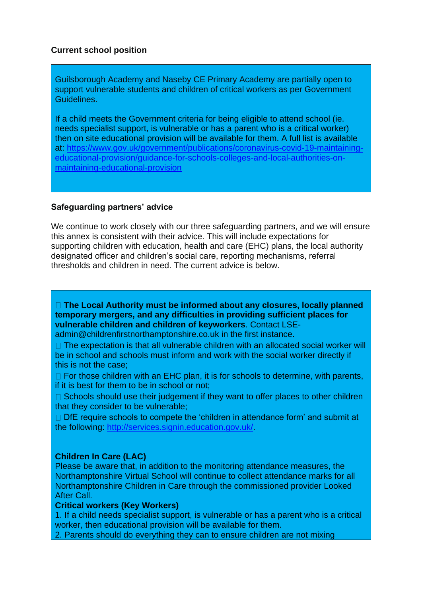# **Current school position**

Guilsborough Academy and Naseby CE Primary Academy are partially open to support vulnerable students and children of critical workers as per Government Guidelines.

If a child meets the Government criteria for being eligible to attend school (ie. needs specialist support, is vulnerable or has a parent who is a critical worker) then on site educational provision will be available for them. A full list is available at: [https://www.gov.uk/government/publications/coronavirus-covid-19-maintaining](https://www.gov.uk/government/publications/coronavirus-covid-19-maintaining-educational-provision/guidance-for-schools-colleges-and-local-authorities-on-maintaining-educational-provision)[educational-provision/guidance-for-schools-colleges-and-local-authorities-on](https://www.gov.uk/government/publications/coronavirus-covid-19-maintaining-educational-provision/guidance-for-schools-colleges-and-local-authorities-on-maintaining-educational-provision)[maintaining-educational-provision](https://www.gov.uk/government/publications/coronavirus-covid-19-maintaining-educational-provision/guidance-for-schools-colleges-and-local-authorities-on-maintaining-educational-provision)

# **Safeguarding partners' advice**

We continue to work closely with our three safeguarding partners, and we will ensure this annex is consistent with their advice. This will include expectations for supporting children with education, health and care (EHC) plans, the local authority designated officer and children's social care, reporting mechanisms, referral thresholds and children in need. The current advice is below.

**The Local Authority must be informed about any closures, locally planned temporary mergers, and any difficulties in providing sufficient places for vulnerable children and children of keyworkers**. Contact LSE-

admin@childrenfirstnorthamptonshire.co.uk in the first instance.

 $\Box$  The expectation is that all vulnerable children with an allocated social worker will be in school and schools must inform and work with the social worker directly if this is not the case;

 $\Box$  For those children with an EHC plan, it is for schools to determine, with parents, if it is best for them to be in school or not;

 $\Box$  Schools should use their judgement if they want to offer places to other children that they consider to be vulnerable;

 $\Box$  DfE require schools to compete the 'children in attendance form' and submit at the following: [http://services.signin.education.gov.uk/.](http://services.signin.education.gov.uk/)

# **Children In Care (LAC)**

Please be aware that, in addition to the monitoring attendance measures, the Northamptonshire Virtual School will continue to collect attendance marks for all Northamptonshire Children in Care through the commissioned provider Looked After Call.

### **Critical workers (Key Workers)**

1. If a child needs specialist support, is vulnerable or has a parent who is a critical worker, then educational provision will be available for them.

2. Parents should do everything they can to ensure children are not mixing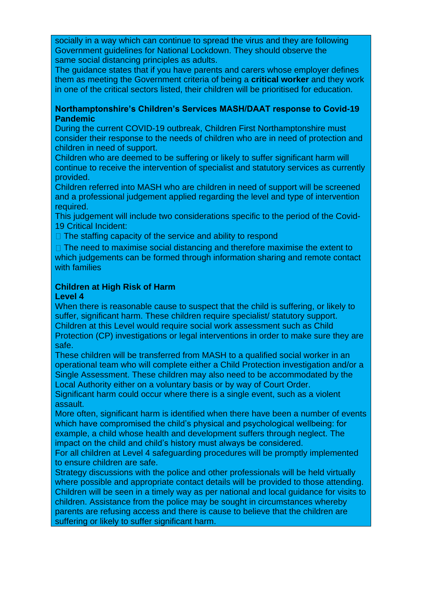socially in a way which can continue to spread the virus and they are following Government guidelines for National Lockdown. They should observe the same social distancing principles as adults.

The guidance states that if you have parents and carers whose employer defines them as meeting the Government criteria of being a **critical worker** and they work in one of the critical sectors listed, their children will be prioritised for education.

### **Northamptonshire's Children's Services MASH/DAAT response to Covid-19 Pandemic**

During the current COVID-19 outbreak, Children First Northamptonshire must consider their response to the needs of children who are in need of protection and children in need of support.

Children who are deemed to be suffering or likely to suffer significant harm will continue to receive the intervention of specialist and statutory services as currently provided.

Children referred into MASH who are children in need of support will be screened and a professional judgement applied regarding the level and type of intervention required.

This judgement will include two considerations specific to the period of the Covid-19 Critical Incident:

 $\Box$  The staffing capacity of the service and ability to respond

 $\Box$  The need to maximise social distancing and therefore maximise the extent to which judgements can be formed through information sharing and remote contact with families

# **Children at High Risk of Harm**

### **Level 4**

When there is reasonable cause to suspect that the child is suffering, or likely to suffer, significant harm. These children require specialist/ statutory support. Children at this Level would require social work assessment such as Child Protection (CP) investigations or legal interventions in order to make sure they are safe.

These children will be transferred from MASH to a qualified social worker in an operational team who will complete either a Child Protection investigation and/or a Single Assessment. These children may also need to be accommodated by the Local Authority either on a voluntary basis or by way of Court Order.

Significant harm could occur where there is a single event, such as a violent assault.

More often, significant harm is identified when there have been a number of events which have compromised the child's physical and psychological wellbeing: for example, a child whose health and development suffers through neglect. The impact on the child and child's history must always be considered.

For all children at Level 4 safeguarding procedures will be promptly implemented to ensure children are safe.

Strategy discussions with the police and other professionals will be held virtually where possible and appropriate contact details will be provided to those attending. Children will be seen in a timely way as per national and local guidance for visits to children. Assistance from the police may be sought in circumstances whereby parents are refusing access and there is cause to believe that the children are suffering or likely to suffer significant harm.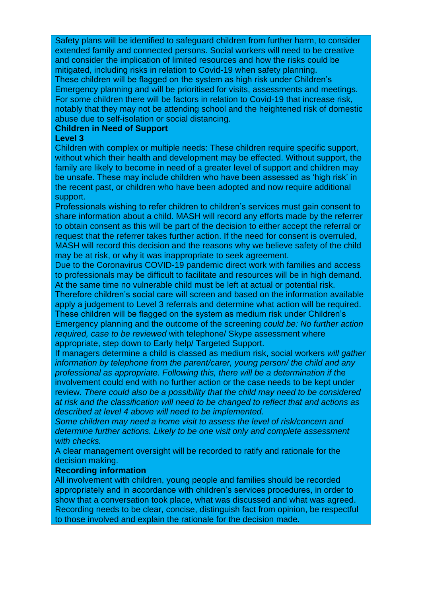Safety plans will be identified to safeguard children from further harm, to consider extended family and connected persons. Social workers will need to be creative and consider the implication of limited resources and how the risks could be mitigated, including risks in relation to Covid-19 when safety planning. These children will be flagged on the system as high risk under Children's Emergency planning and will be prioritised for visits, assessments and meetings. For some children there will be factors in relation to Covid-19 that increase risk, notably that they may not be attending school and the heightened risk of domestic abuse due to self-isolation or social distancing.

### **Children in Need of Support**

#### **Level 3**

Children with complex or multiple needs: These children require specific support, without which their health and development may be effected. Without support, the family are likely to become in need of a greater level of support and children may be unsafe. These may include children who have been assessed as 'high risk' in the recent past, or children who have been adopted and now require additional support.

Professionals wishing to refer children to children's services must gain consent to share information about a child. MASH will record any efforts made by the referrer to obtain consent as this will be part of the decision to either accept the referral or request that the referrer takes further action. If the need for consent is overruled, MASH will record this decision and the reasons why we believe safety of the child may be at risk, or why it was inappropriate to seek agreement.

Due to the Coronavirus COVID-19 pandemic direct work with families and access to professionals may be difficult to facilitate and resources will be in high demand. At the same time no vulnerable child must be left at actual or potential risk.

Therefore children's social care will screen and based on the information available apply a judgement to Level 3 referrals and determine what action will be required. These children will be flagged on the system as medium risk under Children's Emergency planning and the outcome of the screening *could be: No further action required, case to be reviewed* with telephone/ Skype assessment where appropriate, step down to Early help/ Targeted Support.

If managers determine a child is classed as medium risk, social workers *will gather information by telephone from the parent/carer, young person/ the child and any professional as appropriate. Following this, there will be a determination if t*he involvement could end with no further action or the case needs to be kept under review*. There could also be a possibility that the child may need to be considered at risk and the classification will need to be changed to reflect that and actions as described at level 4 above will need to be implemented.* 

*Some children may need a home visit to assess the level of risk/concern and determine further actions. Likely to be one visit only and complete assessment with checks.* 

A clear management oversight will be recorded to ratify and rationale for the decision making.

#### **Recording information**

All involvement with children, young people and families should be recorded appropriately and in accordance with children's services procedures, in order to show that a conversation took place, what was discussed and what was agreed. Recording needs to be clear, concise, distinguish fact from opinion, be respectful to those involved and explain the rationale for the decision made.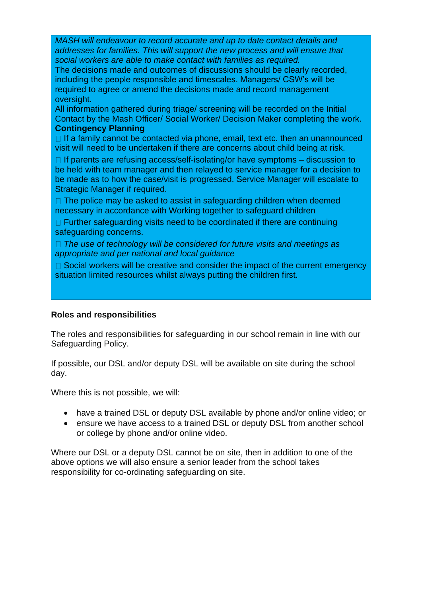*MASH will endeavour to record accurate and up to date contact details and addresses for families. This will support the new process and will ensure that social workers are able to make contact with families as required.* 

The decisions made and outcomes of discussions should be clearly recorded, including the people responsible and timescales. Managers/ CSW's will be required to agree or amend the decisions made and record management oversight.

All information gathered during triage/ screening will be recorded on the Initial Contact by the Mash Officer/ Social Worker/ Decision Maker completing the work. **Contingency Planning** 

 $\Box$  If a family cannot be contacted via phone, email, text etc. then an unannounced visit will need to be undertaken if there are concerns about child being at risk.

 $\Box$  If parents are refusing access/self-isolating/or have symptoms – discussion to be held with team manager and then relayed to service manager for a decision to be made as to how the case/visit is progressed. Service Manager will escalate to Strategic Manager if required.

 $\Box$  The police may be asked to assist in safeguarding children when deemed necessary in accordance with Working together to safeguard children

 $\Box$  Further safeguarding visits need to be coordinated if there are continuing safeguarding concerns.

*The use of technology will be considered for future visits and meetings as appropriate and per national and local guidance* 

 $\Box$  Social workers will be creative and consider the impact of the current emergency situation limited resources whilst always putting the children first.

# **Roles and responsibilities**

The roles and responsibilities for safeguarding in our school remain in line with our Safeguarding Policy.

If possible, our DSL and/or deputy DSL will be available on site during the school day.

Where this is not possible, we will:

- have a trained DSL or deputy DSL available by phone and/or online video; or
- ensure we have access to a trained DSL or deputy DSL from another school or college by phone and/or online video.

Where our DSL or a deputy DSL cannot be on site, then in addition to one of the above options we will also ensure a senior leader from the school takes responsibility for co-ordinating safeguarding on site.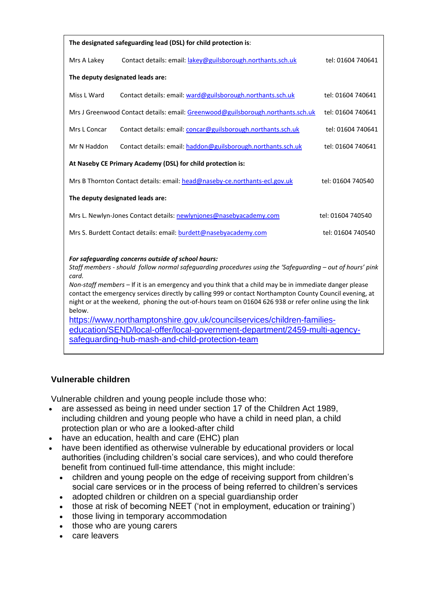| The designated safeguarding lead (DSL) for child protection is:                                                                                                                                                                                                                                                                                                                                                                                                                                                    |                                                                                 |                   |
|--------------------------------------------------------------------------------------------------------------------------------------------------------------------------------------------------------------------------------------------------------------------------------------------------------------------------------------------------------------------------------------------------------------------------------------------------------------------------------------------------------------------|---------------------------------------------------------------------------------|-------------------|
| Mrs A Lakey                                                                                                                                                                                                                                                                                                                                                                                                                                                                                                        | Contact details: email: lakey@guilsborough.northants.sch.uk                     | tel: 01604 740641 |
| The deputy designated leads are:                                                                                                                                                                                                                                                                                                                                                                                                                                                                                   |                                                                                 |                   |
| Miss L Ward                                                                                                                                                                                                                                                                                                                                                                                                                                                                                                        | Contact details: email: ward@guilsborough.northants.sch.uk                      | tel: 01604 740641 |
|                                                                                                                                                                                                                                                                                                                                                                                                                                                                                                                    | Mrs J Greenwood Contact details: email: Greenwood@guilsborough.northants.sch.uk | tel: 01604 740641 |
| Mrs L Concar                                                                                                                                                                                                                                                                                                                                                                                                                                                                                                       | Contact details: email: concar@guilsborough.northants.sch.uk                    | tel: 01604 740641 |
| Mr N Haddon                                                                                                                                                                                                                                                                                                                                                                                                                                                                                                        | Contact details: email: haddon@guilsborough.northants.sch.uk                    | tel: 01604 740641 |
| At Naseby CE Primary Academy (DSL) for child protection is:                                                                                                                                                                                                                                                                                                                                                                                                                                                        |                                                                                 |                   |
|                                                                                                                                                                                                                                                                                                                                                                                                                                                                                                                    | Mrs B Thornton Contact details: email: head@naseby-ce.northants-ecl.gov.uk      | tel: 01604 740540 |
| The deputy designated leads are:                                                                                                                                                                                                                                                                                                                                                                                                                                                                                   |                                                                                 |                   |
| Mrs L. Newlyn-Jones Contact details: newlynjones@nasebyacademy.com<br>tel: 01604 740540                                                                                                                                                                                                                                                                                                                                                                                                                            |                                                                                 |                   |
|                                                                                                                                                                                                                                                                                                                                                                                                                                                                                                                    | Mrs S. Burdett Contact details: email: burdett@nasebyacademy.com                | tel: 01604 740540 |
| For safeguarding concerns outside of school hours:<br>Staff members - should follow normal safequarding procedures using the 'Safequarding - out of hours' pink<br>card.<br>Non-staff members - If it is an emergency and you think that a child may be in immediate danger please<br>contact the emergency services directly by calling 999 or contact Northampton County Council evening, at<br>night or at the weekend, phoning the out-of-hours team on 01604 626 938 or refer online using the link<br>below. |                                                                                 |                   |
| https://www.northamptonshire.gov.uk/councilservices/children-families-                                                                                                                                                                                                                                                                                                                                                                                                                                             |                                                                                 |                   |

[education/SEND/local-offer/local-government-department/2459-multi-agency](https://www.northamptonshire.gov.uk/councilservices/children-families-education/SEND/local-offer/local-government-department/2459-multi-agency-safeguarding-hub-mash-and-child-protection-team)[safeguarding-hub-mash-and-child-protection-team](https://www.northamptonshire.gov.uk/councilservices/children-families-education/SEND/local-offer/local-government-department/2459-multi-agency-safeguarding-hub-mash-and-child-protection-team)

# **Vulnerable children**

Vulnerable children and young people include those who:

- are assessed as being in need under section 17 of the Children Act 1989, including children and young people who have a child in need plan, a child protection plan or who are a looked-after child
- have an education, health and care (EHC) plan
- have been identified as otherwise vulnerable by educational providers or local authorities (including children's social care services), and who could therefore benefit from continued full-time attendance, this might include:
	- children and young people on the edge of receiving support from children's social care services or in the process of being referred to children's services
	- adopted children or children on a special guardianship order
	- those at risk of becoming NEET ('not in employment, education or training')
	- those living in temporary accommodation
	- those who are young carers
	- care leavers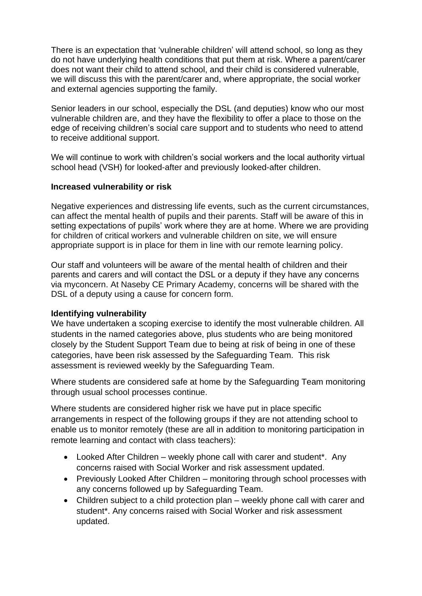There is an expectation that 'vulnerable children' will attend school, so long as they do not have underlying health conditions that put them at risk. Where a parent/carer does not want their child to attend school, and their child is considered vulnerable, we will discuss this with the parent/carer and, where appropriate, the social worker and external agencies supporting the family.

Senior leaders in our school, especially the DSL (and deputies) know who our most vulnerable children are, and they have the flexibility to offer a place to those on the edge of receiving children's social care support and to students who need to attend to receive additional support.

We will continue to work with children's social workers and the local authority virtual school head (VSH) for looked-after and previously looked-after children.

# **Increased vulnerability or risk**

Negative experiences and distressing life events, such as the current circumstances, can affect the mental health of pupils and their parents. Staff will be aware of this in setting expectations of pupils' work where they are at home. Where we are providing for children of critical workers and vulnerable children on site, we will ensure appropriate support is in place for them in line with our remote learning policy.

Our staff and volunteers will be aware of the mental health of [children](about:blank) and their [parents and carers](about:blank) and will contact the DSL or a deputy if they have any concerns via myconcern. At Naseby CE Primary Academy, concerns will be shared with the DSL of a deputy using a cause for concern form.

#### **Identifying vulnerability**

We have undertaken a scoping exercise to identify the most vulnerable children. All students in the named categories above, plus students who are being monitored closely by the Student Support Team due to being at risk of being in one of these categories, have been risk assessed by the Safeguarding Team. This risk assessment is reviewed weekly by the Safeguarding Team.

Where students are considered safe at home by the Safeguarding Team monitoring through usual school processes continue.

Where students are considered higher risk we have put in place specific arrangements in respect of the following groups if they are not attending school to enable us to monitor remotely (these are all in addition to monitoring participation in remote learning and contact with class teachers):

- Looked After Children weekly phone call with carer and student<sup>\*</sup>. Any concerns raised with Social Worker and risk assessment updated.
- Previously Looked After Children monitoring through school processes with any concerns followed up by Safeguarding Team.
- Children subject to a child protection plan weekly phone call with carer and student\*. Any concerns raised with Social Worker and risk assessment updated.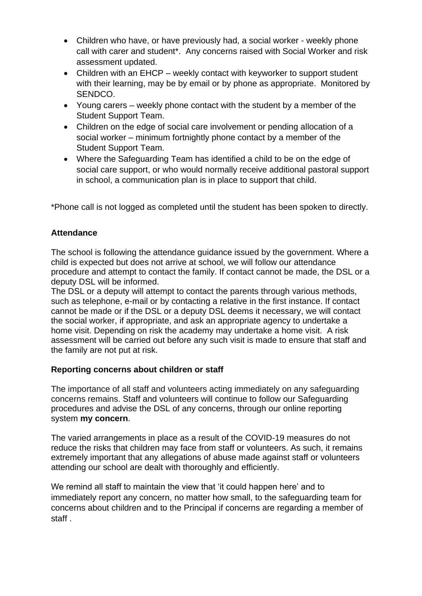- Children who have, or have previously had, a social worker weekly phone call with carer and student\*. Any concerns raised with Social Worker and risk assessment updated.
- Children with an EHCP weekly contact with keyworker to support student with their learning, may be by email or by phone as appropriate. Monitored by SENDCO.
- Young carers weekly phone contact with the student by a member of the Student Support Team.
- Children on the edge of social care involvement or pending allocation of a social worker – minimum fortnightly phone contact by a member of the Student Support Team.
- Where the Safeguarding Team has identified a child to be on the edge of social care support, or who would normally receive additional pastoral support in school, a communication plan is in place to support that child.

\*Phone call is not logged as completed until the student has been spoken to directly.

# **Attendance**

The school is following the attendance guidance issued by the government. Where a child is expected but does not arrive at school, we will follow our attendance procedure and attempt to contact the family. If contact cannot be made, the DSL or a deputy DSL will be informed.

The DSL or a deputy will attempt to contact the parents through various methods, such as telephone, e-mail or by contacting a relative in the first instance. If contact cannot be made or if the DSL or a deputy DSL deems it necessary, we will contact the social worker, if appropriate, and ask an appropriate agency to undertake a home visit. Depending on risk the academy may undertake a home visit. A risk assessment will be carried out before any such visit is made to ensure that staff and the family are not put at risk.

# **Reporting concerns about children or staff**

The importance of all staff and volunteers acting immediately on any safeguarding concerns remains. Staff and volunteers will continue to follow our Safeguarding procedures and advise the DSL of any concerns, through our online reporting system **my concern**.

The varied arrangements in place as a result of the COVID-19 measures do not reduce the risks that children may face from staff or volunteers. As such, it remains extremely important that any allegations of abuse made against staff or volunteers attending our school are dealt with thoroughly and efficiently.

We remind all staff to maintain the view that 'it could happen here' and to immediately report any concern, no matter how small, to the safeguarding team for concerns about children and to the Principal if concerns are regarding a member of staff .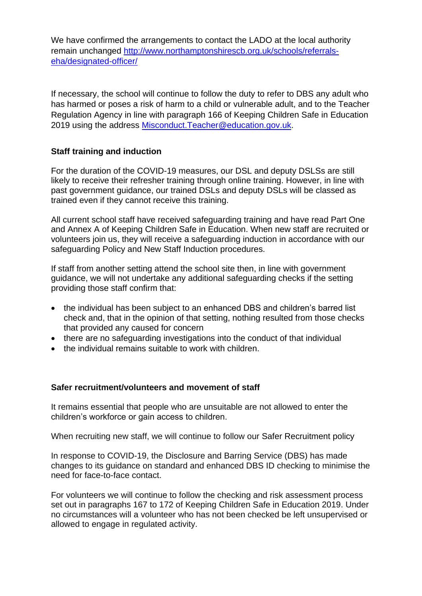We have confirmed the arrangements to contact the LADO at the local authority remain unchanged [http://www.northamptonshirescb.org.uk/schools/referrals](http://www.northamptonshirescb.org.uk/schools/referrals-eha/designated-officer/)[eha/designated-officer/](http://www.northamptonshirescb.org.uk/schools/referrals-eha/designated-officer/)

If necessary, the school will continue to follow the duty to refer to DBS any adult who has harmed or poses a risk of harm to a child or vulnerable adult, and to the Teacher Regulation Agency in line with paragraph 166 of Keeping Children Safe in Education 2019 using the address [Misconduct.Teacher@education.gov.uk.](mailto:Misconduct.Teacher@education.gov.uk)

# **Staff training and induction**

For the duration of the COVID-19 measures, our DSL and deputy DSLSs are still likely to receive their refresher training through online training. However, in line with past government guidance, our trained DSLs and deputy DSLs will be classed as trained even if they cannot receive this training.

All current school staff have received safeguarding training and have read Part One and Annex A of Keeping Children Safe in Education. When new staff are recruited or volunteers join us, they will receive a safeguarding induction in accordance with our safeguarding Policy and New Staff Induction procedures.

If staff from another setting attend the school site then, in line with government guidance, we will not undertake any additional safeguarding checks if the setting providing those staff confirm that:

- the individual has been subject to an enhanced DBS and children's barred list check and, that in the opinion of that setting, nothing resulted from those checks that provided any caused for concern
- there are no safeguarding investigations into the conduct of that individual
- the individual remains suitable to work with children

# **Safer recruitment/volunteers and movement of staff**

It remains essential that people who are unsuitable are not allowed to enter the children's workforce or gain access to children.

When recruiting new staff, we will continue to follow our Safer Recruitment policy

In response to COVID-19, the Disclosure and Barring Service (DBS) has made changes to its guidance on standard and enhanced DBS ID checking to minimise the need for face-to-face contact.

For volunteers we will continue to follow the checking and risk assessment process set out in paragraphs 167 to 172 of Keeping Children Safe in Education 2019. Under no circumstances will a volunteer who has not been checked be left unsupervised or allowed to engage in regulated activity.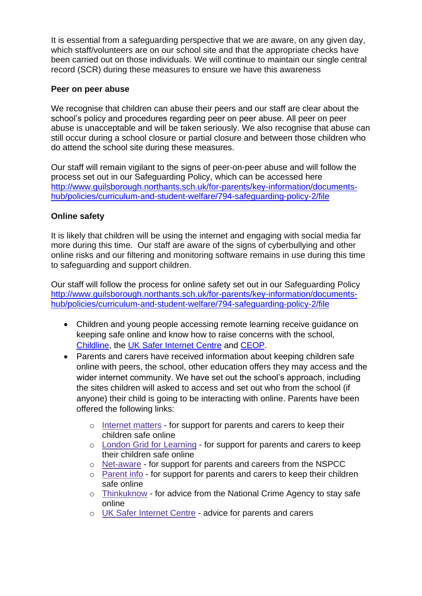It is essential from a safeguarding perspective that we are aware, on any given day, which staff/volunteers are on our school site and that the appropriate checks have been carried out on those individuals. We will continue to maintain our single central record (SCR) during these measures to ensure we have this awareness

# **Peer on peer abuse**

We recognise that children can abuse their peers and our staff are clear about the school's policy and procedures regarding peer on peer abuse. All peer on peer abuse is unacceptable and will be taken seriously. We also recognise that abuse can still occur during a school closure or partial closure and between those children who do attend the school site during these measures.

Our staff will remain vigilant to the [signs of peer-on-peer abuse](about:blank) and will follow the process set out in our Safeguarding Policy, which can be accessed here [http://www.guilsborough.northants.sch.uk/for-parents/key-information/documents](http://www.guilsborough.northants.sch.uk/for-parents/key-information/documents-hub/policies/curriculum-and-student-welfare/794-safeguarding-policy-2/file)[hub/policies/curriculum-and-student-welfare/794-safeguarding-policy-2/file](http://www.guilsborough.northants.sch.uk/for-parents/key-information/documents-hub/policies/curriculum-and-student-welfare/794-safeguarding-policy-2/file)

# **Online safety**

It is likely that children will be using the internet and engaging with social media far more during this time. Our staff are aware of the signs of cyberbullying and other online risks and our filtering and monitoring software remains in use during this time to safeguarding and support children.

Our staff will follow the process for online safety set out in our Safeguarding Policy [http://www.guilsborough.northants.sch.uk/for-parents/key-information/documents](http://www.guilsborough.northants.sch.uk/for-parents/key-information/documents-hub/policies/curriculum-and-student-welfare/794-safeguarding-policy-2/file)[hub/policies/curriculum-and-student-welfare/794-safeguarding-policy-2/file](http://www.guilsborough.northants.sch.uk/for-parents/key-information/documents-hub/policies/curriculum-and-student-welfare/794-safeguarding-policy-2/file)

- Children and young people accessing remote learning receive guidance on keeping safe online and know how to raise concerns with the school, [Childline,](https://www.childline.org.uk/?utm_source=google&utm_medium=cpc&utm_campaign=UK_GO_S_B_BND_Grant_Childline_Information&utm_term=role_of_childline&gclsrc=aw.ds&&gclid=EAIaIQobChMIlfLRh-ez6AIVRrDtCh1N9QR2EAAYASAAEgLc-vD_BwE&gclsrc=aw.ds) the [UK Safer Internet Centre](https://reportharmfulcontent.com/) and [CEOP.](https://www.ceop.police.uk/safety-centre/)
- Parents and carers have received information about keeping children safe online with peers, the school, other education offers they may access and the wider internet community. We have set out the school's approach, including the sites children will asked to access and set out who from the school (if anyone) their child is going to be interacting with online. Parents have been offered the following links:
	- o [Internet](https://www.internetmatters.org/?gclid=EAIaIQobChMIktuA5LWK2wIVRYXVCh2afg2aEAAYASAAEgIJ5vD_BwE) matters for support for parents and carers to keep their children safe online
	- o London Grid for [Learning](http://www.lgfl.net/online-safety/) for support for parents and carers to keep their children safe online
	- o [Net-aware](https://www.net-aware.org.uk/) for support for parents and careers from the NSPCC
	- o [Parent](https://parentinfo.org/) info for support for parents and carers to keep their children safe online
	- o [Thinkuknow](http://www.thinkuknow.co.uk/) for advice from the National Crime Agency to stay safe online
	- o UK Safer [Internet](https://www.saferinternet.org.uk/advice-centre/parents-and-carers) Centre advice for parents and carers